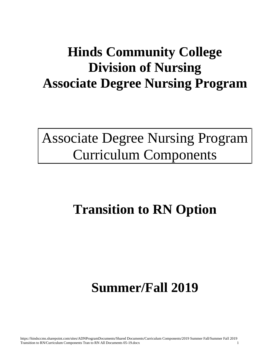Associate Degree Nursing Program Curriculum Components

# **Transition to RN Option**

# **Summer/Fall 2019**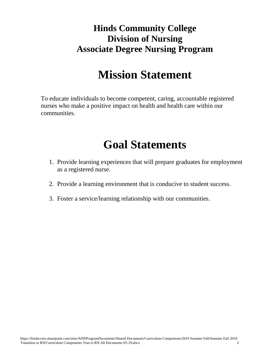## **Mission Statement**

To educate individuals to become competent, caring, accountable registered nurses who make a positive impact on health and health care within our communities.

## **Goal Statements**

- 1. Provide learning experiences that will prepare graduates for employment as a registered nurse.
- 2. Provide a learning environment that is conducive to student success.
- 3. Foster a service/learning relationship with our communities.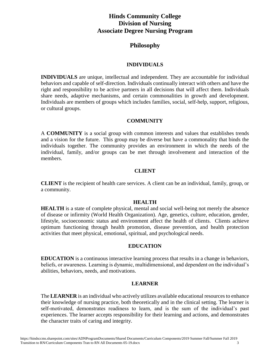## **Philosophy**

## **INDIVIDUALS**

**INDIVIDUALS** are unique, intellectual and independent. They are accountable for individual behaviors and capable of self-direction. Individuals continually interact with others and have the right and responsibility to be active partners in all decisions that will affect them. Individuals share needs, adaptive mechanisms, and certain commonalities in growth and development. Individuals are members of groups which includes families, social, self-help, support, religious, or cultural groups.

## **COMMUNITY**

A **COMMUNITY** is a social group with common interests and values that establishes trends and a vision for the future. This group may be diverse but have a commonality that binds the individuals together. The community provides an environment in which the needs of the individual, family, and/or groups can be met through involvement and interaction of the members.

## **CLIENT**

**CLIENT** is the recipient of health care services. A client can be an individual, family, group, or a community.

#### **HEALTH**

**HEALTH** is a state of complete physical, mental and social well-being not merely the absence of disease or infirmity (World Health Organization). Age, genetics, culture, education, gender, lifestyle, socioeconomic status and environment affect the health of clients. Clients achieve optimum functioning through health promotion, disease prevention, and health protection activities that meet physical, emotional, spiritual, and psychological needs.

#### **EDUCATION**

**EDUCATION** is a continuous interactive learning process that results in a change in behaviors, beliefs, or awareness. Learning is dynamic, multidimensional, and dependent on the individual's abilities, behaviors, needs, and motivations.

#### **LEARNER**

The **LEARNER** is an individual who actively utilizes available educational resources to enhance their knowledge of nursing practice, both theoretically and in the clinical setting. The learner is self-motivated, demonstrates readiness to learn, and is the sum of the individual's past experiences. The learner accepts responsibility for their learning and actions, and demonstrates the character traits of caring and integrity.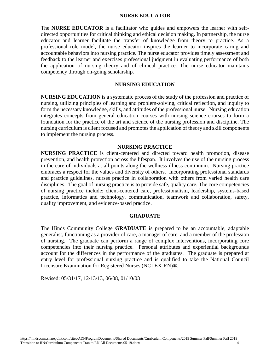#### **NURSE EDUCATOR**

The **NURSE EDUCATOR** is a facilitator who guides and empowers the learner with selfdirected opportunities for critical thinking and ethical decision making. In partnership, the nurse educator and learner facilitate the transfer of knowledge from theory to practice. As a professional role model, the nurse educator inspires the learner to incorporate caring and accountable behaviors into nursing practice. The nurse educator provides timely assessment and feedback to the learner and exercises professional judgment in evaluating performance of both the application of nursing theory and of clinical practice. The nurse educator maintains competency through on-going scholarship.

### **NURSING EDUCATION**

**NURSING EDUCATION** is a systematic process of the study of the profession and practice of nursing, utilizing principles of learning and problem-solving, critical reflection, and inquiry to form the necessary knowledge, skills, and attitudes of the professional nurse. Nursing education integrates concepts from general education courses with nursing science courses to form a foundation for the practice of the art and science of the nursing profession and discipline. The nursing curriculum is client focused and promotes the application of theory and skill components to implement the nursing process.

#### **NURSING PRACTICE**

**NURSING PRACTICE** is client-centered and directed toward health promotion, disease prevention, and health protection across the lifespan. It involves the use of the nursing process in the care of individuals at all points along the wellness-illness continuum. Nursing practice embraces a respect for the values and diversity of others. Incorporating professional standards and practice guidelines, nurses practice in collaboration with others from varied health care disciplines. The goal of nursing practice is to provide safe, quality care. The core competencies of nursing practice include: client-centered care, professionalism, leadership, systems-based practice, informatics and technology, communication, teamwork and collaboration, safety, quality improvement, and evidence-based practice.

#### **GRADUATE**

The Hinds Community College **GRADUATE** is prepared to be an accountable, adaptable generalist, functioning as a provider of care, a manager of care, and a member of the profession of nursing. The graduate can perform a range of complex interventions, incorporating core competencies into their nursing practice. Personal attributes and experiential backgrounds account for the differences in the performance of the graduates. The graduate is prepared at entry level for professional nursing practice and is qualified to take the National Council Licensure Examination for Registered Nurses (NCLEX-RN)®.

Revised: 05/31/17, 12/13/13, 06/08, 01/10/03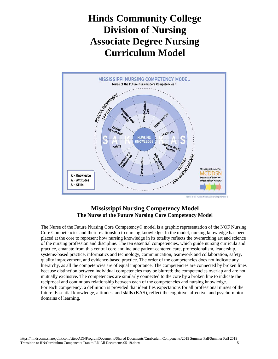## **Hinds Community College Division of Nursing Associate Degree Nursing Curriculum Model**



## **Mississippi Nursing Competency Model The Nurse of the Future Nursing Core Competency Model**

The Nurse of the Future Nursing Core Competency© model is a graphic representation of the NOF Nursing Core Competencies and their relationship to nursing knowledge. In the model, nursing knowledge has been placed at the core to represent how nursing knowledge in its totality reflects the overarching art and science of the nursing profession and discipline. The ten essential competencies, which guide nursing curricula and practice, emanate from this central core and include patient-centered care, professionalism, leadership, systems-based practice, informatics and technology, communication, teamwork and collaboration, safety, quality improvement, and evidence-based practice. The order of the competencies does not indicate any hierarchy, as all the competencies are of equal importance. The competencies are connected by broken lines because distinction between individual competencies may be blurred; the competencies overlap and are not mutually exclusive. The competencies are similarly connected to the core by a broken line to indicate the reciprocal and continuous relationship between each of the competencies and nursing knowledge. For each competency, a definition is provided that identifies expectations for all professional nurses of the future. Essential knowledge, attitudes, and skills (KAS), reflect the cognitive, affective, and psycho-motor domains of learning.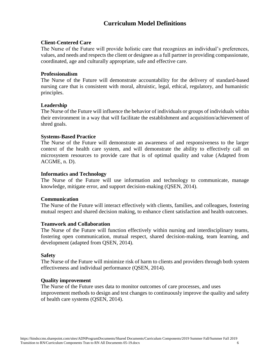## **Curriculum Model Definitions**

## **Client-Centered Care**

The Nurse of the Future will provide holistic care that recognizes an individual's preferences, values, and needs and respects the client or designee as a full partner in providing compassionate, coordinated, age and culturally appropriate, safe and effective care.

## **Professionalism**

The Nurse of the Future will demonstrate accountability for the delivery of standard-based nursing care that is consistent with moral, altruistic, legal, ethical, regulatory, and humanistic principles.

## **Leadership**

The Nurse of the Future will influence the behavior of individuals or groups of individuals within their environment in a way that will facilitate the establishment and acquisition/achievement of shred goals.

#### **Systems-Based Practice**

The Nurse of the Future will demonstrate an awareness of and responsiveness to the larger context of the health care system, and will demonstrate the ability to effectively call on microsystem resources to provide care that is of optimal quality and value (Adapted from ACGME, n. D).

#### **Informatics and Technology**

The Nurse of the Future will use information and technology to communicate, manage knowledge, mitigate error, and support decision-making (QSEN, 2014).

## **Communication**

The Nurse of the Future will interact effectively with clients, families, and colleagues, fostering mutual respect and shared decision making, to enhance client satisfaction and health outcomes.

#### **Teamwork and Collaboration**

The Nurse of the Future will function effectively within nursing and interdisciplinary teams, fostering open communication, mutual respect, shared decision-making, team learning, and development (adapted from QSEN, 2014).

## **Safety**

The Nurse of the Future will minimize risk of harm to clients and providers through both system effectiveness and individual performance (QSEN, 2014).

## **Quality improvement**

The Nurse of the Future uses data to monitor outcomes of care processes, and uses improvement methods to design and test changes to continuously improve the quality and safety of health care systems (QSEN, 2014).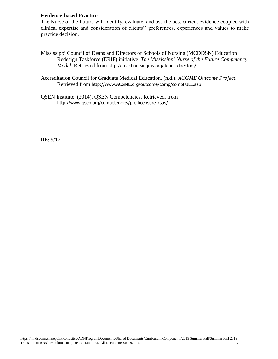## **Evidence-based Practice**

The Nurse of the Future will identify, evaluate, and use the best current evidence coupled with clinical expertise and consideration of clients'' preferences, experiences and values to make practice decision.

- Mississippi Council of Deans and Directors of Schools of Nursing (MCDDSN) Education Redesign Taskforce (ERIF) initiative. *The Mississippi Nurse of the Future Competency Model*. Retrieved from <http://iteachnursingms.org/deans-directors/>
- Accreditation Council for Graduate Medical Education. (n.d.). *ACGME Outcome Project*. Retrieved from [http://www.ACGME.org/outcome/comp/compFULL.asp](http://www.acgme.org/outcome/comp/compFULL.asp)
- QSEN Institute. (2014). QSEN Competencies. Retrieved, from <http://www.qsen.org/competencies/pre-licensure-ksas/>

RE: 5/17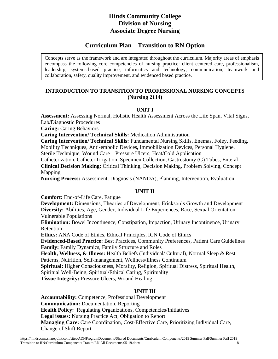## **Curriculum Plan – Transition to RN Option**

Concepts serve as the framework and are integrated throughout the curriculum. Majority areas of emphasis encompass the following core competencies of nursing practice: client centered care, professionalism, leadership, systems-based practice, informatics and technology, communication, teamwork and collaboration, safety, quality improvement, and evidenced based practice.

## **INTRODUCTION TO TRANSITION TO PROFESSIONAL NURSING CONCEPTS (Nursing 2114)**

## **UNIT I**

**Assessment:** Assessing Normal, Holistic Health Assessment Across the Life Span, Vital Signs, Lab/Diagnostic Procedures

**Caring:** Caring Behaviors

**Caring Intervention/ Technical Skills:** Medication Administration

**Caring Intervention/ Technical Skills:** Fundamental Nursing Skills, Enemas, Foley, Feeding, Mobility Techniques, Anti-embolic Devices, Immobilization Devices, Personal Hygiene,

Sterile Technique, Wound Care – Pressure Ulcers, Heat/Cold Application

Catheterization, Catheter Irrigation, Specimen Collection, Gastrostomy (G) Tubes, Enteral **Clinical Decision Making:** Critical Thinking, Decision Making, Problem Solving, Concept Mapping

**Nursing Process:** Assessment, Diagnosis (NANDA), Planning, Intervention, Evaluation

## **UNIT II**

**Comfort:** End-of-Life Care, Fatigue

**Development:** Dimensions, Theories of Development, Erickson's Growth and Development **Diversity:** Abilities, Age, Gender, Individual Life Experiences, Race, Sexual Orientation, Vulnerable Populations

**Elimination:** Bowel Incontinence, Constipation, Impaction, Urinary Incontinence, Urinary Retention

**Ethics:** ANA Code of Ethics, Ethical Principles, ICN Code of Ethics

**Evidenced-Based Practice:** Best Practices, Community Preferences, Patient Care Guidelines **Family:** Family Dynamics, Family Structure and Roles

**Health, Wellness, & Illness:** Health Beliefs (Individual/ Cultural), Normal Sleep & Rest Patterns, Nutrition, Self-management, Wellness/Illness Continuum

**Spiritual:** Higher Consciousness, Morality, Religion, Spiritual Distress, Spiritual Health,

Spiritual Well-Being, Spiritual/Ethical Caring, Spirituality

**Tissue Integrity:** Pressure Ulcers, Wound Healing

## **UNIT III**

**Accountability:** Competence, Professional Development **Communication:** Documentation, Reporting **Health Policy:** Regulating Organizations, Competencies/Initiatives **Legal issues:** Nursing Practice Act, Obligation to Report **Managing Care:** Care Coordination, Cost-Effective Care, Prioritizing Individual Care, Change of Shift Report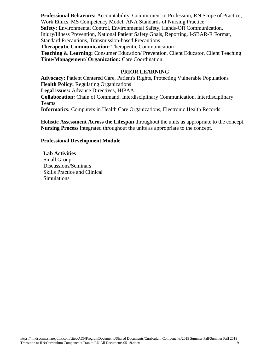**Professional Behaviors:** Accountability, Commitment to Profession, RN Scope of Practice, Work Ethics, MS Competency Model, ANA Standards of Nursing Practice **Safety:** Environmental Control, Environmental Safety, Hands-Off Communication, Injury/Illness Prevention, National Patient Safety Goals, Reporting, I-SBAR-R Format, Standard Precautions, Transmission-based Precautions **Therapeutic Communication:** Therapeutic Communication **Teaching & Learning:** Consumer Education/Prevention, Client Educator, Client Teaching **Time/Management/ Organization:** Care Coordination

### **PRIOR LEARNING**

**Advocacy:** Patient Centered Care, Patient's Rights, Protecting Vulnerable Populations **Health Policy:** Regulating Organizations **Legal issues:** Advance Directives, HIPAA **Collaboration:** Chain of Command, Interdisciplinary Communication, Interdisciplinary Teams **Informatics:** Computers in Health Care Organizations, Electronic Health Records

**Holistic Assessment Across the Lifespan** throughout the units as appropriate to the concept. **Nursing Process** integrated throughout the units as appropriate to the concept.

#### **Professional Development Module**

**Lab Activities** Small Group Discussions/Seminars Skills Practice and Clinical Simulations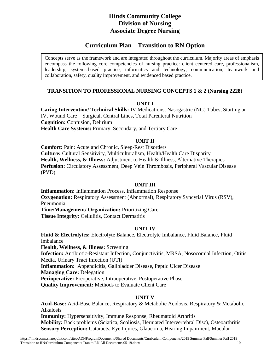## **Curriculum Plan – Transition to RN Option**

Concepts serve as the framework and are integrated throughout the curriculum. Majority areas of emphasis encompass the following core competencies of nursing practice: client centered care, professionalism, leadership, systems-based practice, informatics and technology, communication, teamwork and collaboration, safety, quality improvement, and evidenced based practice.

## **TRANSITION TO PROFESSIONAL NURSING CONCEPTS 1 & 2 (Nursing 2228)**

## **UNIT I**

**Caring Intervention/ Technical Skills:** IV Medications, Nasogastric (NG) Tubes, Starting an IV, Wound Care – Surgical, Central Lines, Total Parenteral Nutrition **Cognition:** Confusion, Delirium **Health Care Systems:** Primary, Secondary, and Tertiary Care

## **UNIT II**

**Comfort:** Pain: Acute and Chronic, Sleep-Rest Disorders **Culture:** Cultural Sensitivity, Multiculturalism, Health/Health Care Disparity **Health, Wellness, & Illness:** Adjustment to Health & Illness, Alternative Therapies **Perfusion:** Circulatory Assessment, Deep Vein Thrombosis, Peripheral Vascular Disease (PVD)

## **UNIT III**

**Inflammation:** Inflammation Process, Inflammation Response **Oxygenation:** Respiratory Assessment (Abnormal), Respiratory Syncytial Virus (RSV), Pneumonia **Time/Management/ Organization:** Prioritizing Care **Tissue Integrity: Cellulitis, Contact Dermatitis** 

## **UNIT IV**

**Fluid & Electrolytes:** Electrolyte Balance, Electrolyte Imbalance, Fluid Balance, Fluid Imbalance

**Health, Wellness, & Illness:** Screening

**Infection:** Antibiotic-Resistant Infection, Conjunctivitis, MRSA, Nosocomial Infection, Otitis Media, Urinary Tract Infection (UTI) **Inflammation:** Appendicitis, Gallbladder Disease, Peptic Ulcer Disease **Managing Care:** Delegation **Perioperative:** Preoperative, Intraoperative, Postoperative Phase **Quality Improvement:** Methods to Evaluate Client Care

## **UNIT V**

**Acid-Base:** Acid-Base Balance, Respiratory & Metabolic Acidosis, Respiratory & Metabolic Alkalosis **Immunity:** Hypersensitivity, Immune Response, Rheumatoid Arthritis **Mobility:** Back problems (Sciatica, Scoliosis, Herniated Intervertebral Disc), Osteoarthritis **Sensory Perception:** Cataracts, Eye Injures, Glaucoma, Hearing Impairment, Macular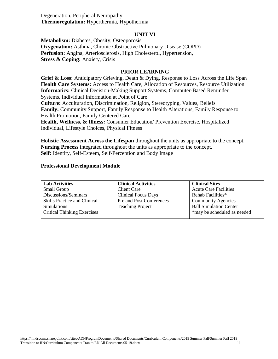Degeneration, Peripheral Neuropathy **Thermoregulation:** Hyperthermia, Hypothermia

#### **UNIT VI**

**Metabolism:** Diabetes, Obesity, Osteoporosis **Oxygenation:** Asthma, Chronic Obstructive Pulmonary Disease (COPD) **Perfusion:** Angina, Arteriosclerosis, High Cholesterol, Hypertension, **Stress & Coping:** Anxiety, Crisis

#### **PRIOR LEARNING**

**Grief & Loss:** Anticipatory Grieving, Death & Dying, Response to Loss Across the Life Span **Health Care Systems:** Access to Health Care, Allocation of Resources, Resource Utilization **Informatics:** Clinical Decision-Making Support Systems, Computer-Based Reminder Systems, Individual Information at Point of Care

**Culture:** Acculturation, Discrimination, Religion, Stereotyping, Values, Beliefs **Family:** Community Support, Family Response to Health Alterations, Family Response to Health Promotion, Family Centered Care

**Health, Wellness, & Illness:** Consumer Education/ Prevention Exercise, Hospitalized Individual, Lifestyle Choices, Physical Fitness

**Holistic Assessment Across the Lifespan** throughout the units as appropriate to the concept. **Nursing Process** integrated throughout the units as appropriate to the concept. **Self:** Identity, Self-Esteem, Self-Perception and Body Image

#### **Professional Development Module**

| <b>Lab Activities</b>               | <b>Clinical Activities</b> | <b>Clinical Sites</b>         |
|-------------------------------------|----------------------------|-------------------------------|
| Small Group                         | Client Care                | <b>Acute Care Facilities</b>  |
| Discussions/Seminars                | <b>Clinical Focus Days</b> | Rehab Facilities*             |
| <b>Skills Practice and Clinical</b> | Pre and Post Conferences   | <b>Community Agencies</b>     |
| <b>Simulations</b>                  | <b>Teaching Project</b>    | <b>Ball Simulation Center</b> |
| <b>Critical Thinking Exercises</b>  |                            | *may be scheduled as needed   |
|                                     |                            |                               |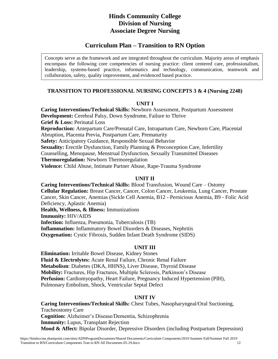## **Curriculum Plan – Transition to RN Option**

Concepts serve as the framework and are integrated throughout the curriculum. Majority areas of emphasis encompass the following core competencies of nursing practice: client centered care, professionalism, leadership, systems-based practice, informatics and technology, communication, teamwork and collaboration, safety, quality improvement, and evidenced based practice.

## **TRANSITION TO PROFESSIONAL NURSING CONCEPTS 3 & 4 (Nursing 2248)**

## **UNIT I**

**Caring Interventions/Technical Skills:** Newborn Assessment, Postpartum Assessment **Development:** Cerebral Palsy, Down Syndrome, Failure to Thrive **Grief & Loss:** Perinatal Loss **Reproduction:** Antepartum Care/Prenatal Care, Intrapartum Care, Newborn Care, Placental Abruption, Placenta Previa, Postpartum Care, Prematurity **Safety:** Anticipatory Guidance, Responsible Sexual Behavior **Sexuality:** Erectile Dysfunction, Family Planning & Preconception Care, Infertility Counselling, Menopause, Menstrual Dysfunction, Sexually Transmitted Diseases **Thermoregulation:** Newborn Thermoregulation **Violence:** Child Abuse, Intimate Partner Abuse, Rape-Trauma Syndrome

## **UNIT II**

**Caring Interventions/Technical Skills:** Blood Transfusion, Wound Care – Ostomy **Cellular Regulation:** Breast Cancer, Cancer, Colon Cancer, Leukemia, Lung Cancer, Prostate Cancer, Skin Cancer, Anemias (Sickle Cell Anemia, B12 - Pernicious Anemia, B9 - Folic Acid Deficiency, Aplastic Anemia) **Health, Wellness, & Illness:** Immunizations **Immunity:** HIV/AIDS **Infection:** Influenza, Pneumonia, Tuberculosis (TB) **Inflammation:** Inflammatory Bowel Disorders & Diseases, Nephritis **Oxygenation:** Cystic Fibrosis, Sudden Infant Death Syndrome (SIDS)

## **UNIT III**

**Elimination:** Irritable Bowel Disease, Kidney Stones **Fluid & Electrolytes:** Acute Renal Failure, Chronic Renal Failure **Metabolism**: Diabetes (DKA, HHNS), Liver Disease, Thyroid Disease **Mobility:** Fractures, Hip Fractures, Multiple Sclerosis, Parkinson's Disease **Perfusion:** Cardiomyopathy, Heart Failure, Pregnancy Induced Hypertension (PIH), Pulmonary Embolism, Shock, Ventricular Septal Defect

## **UNIT IV**

**Caring Interventions/Technical Skills:** Chest Tubes, Nasopharyngeal/Oral Suctioning, Tracheostomy Care **Cognition:** Alzheimer's Disease/Dementia, Schizophrenia **Immunity:** Lupus, Transplant Rejection **Mood & Affect:** Bipolar Disorder, Depressive Disorders (including Postpartum Depression)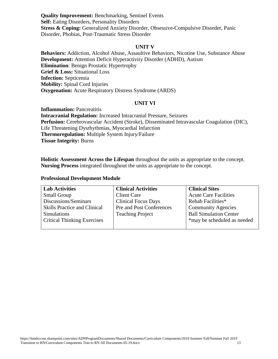**Quality Improvement:** Benchmarking, Sentinel Events **Self:** Eating Disorders, Personality Disorders **Stress & Coping:** Generalized Anxiety Disorder, Obsessive-Compulsive Disorder, Panic Disorder, Phobias, Post-Traumatic Stress Disorder

#### **UNIT V**

**Behaviors:** Addiction, Alcohol Abuse, Assaultive Behaviors, Nicotine Use, Substance Abuse **Development:** Attention Deficit Hyperactivity Disorder (ADHD), Autism **Elimination**: Benign Prostatic Hypertrophy **Grief & Loss:** Situational Loss **Infection:** Septicemia **Mobility:** Spinal Cord Injuries **Oxygenation:** Acute Respiratory Distress Syndrome (ARDS)

## **UNIT VI**

**Inflammation:** Pancreatitis **Intracranial Regulation:** Increased Intracranial Pressure, Seizures **Perfusion:** Cerebrovascular Accident (Stroke), Disseminated Intravascular Coagulation (DIC), Life Threatening Dysrhythmias, Myocardial Infarction **Thermoregulation:** Multiple System Injury/Failure **Tissue Integrity:** Burns

**Holistic Assessment Across the Lifespan** throughout the units as appropriate to the concept. **Nursing Process** integrated throughout the units as appropriate to the concept.

## **Professional Development Module**

| <b>Lab Activities</b>               | <b>Clinical Activities</b> | <b>Clinical Sites</b>         |
|-------------------------------------|----------------------------|-------------------------------|
| <b>Small Group</b>                  | <b>Client Care</b>         | <b>Acute Care Facilities</b>  |
| Discussions/Seminars                | <b>Clinical Focus Days</b> | Rehab Facilities*             |
| <b>Skills Practice and Clinical</b> | Pre and Post Conferences   | <b>Community Agencies</b>     |
| <b>Simulations</b>                  | <b>Teaching Project</b>    | <b>Ball Simulation Center</b> |
| <b>Critical Thinking Exercises</b>  |                            | *may be scheduled as needed   |
|                                     |                            |                               |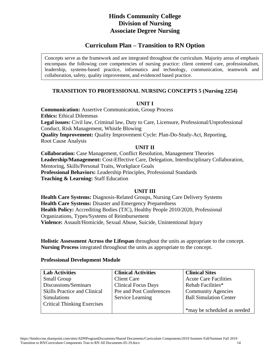## **Curriculum Plan – Transition to RN Option**

Concepts serve as the framework and are integrated throughout the curriculum. Majority areas of emphasis encompass the following core competencies of nursing practice: client centered care, professionalism, leadership, systems-based practice, informatics and technology, communication, teamwork and collaboration, safety, quality improvement, and evidenced based practice.

## **TRANSITION TO PROFESSIONAL NURSING CONCEPTS 5 (Nursing 2254)**

## **UNIT I**

**Communication:** Assertive Communication, Group Process **Ethics:** Ethical Dilemmas **Legal issues:** Civil law, Criminal law, Duty to Care, Licensure, Professional/Unprofessional Conduct, Risk Management, Whistle Blowing **Quality Improvement:** Quality Improvement Cycle: Plan-Do-Study-Act, Reporting, Root Cause Analysis

## **UNIT II**

**Collaboration:** Case Management, Conflict Resolution, Management Theories **Leadership/Management:** Cost-Effective Care, Delegation, Interdisciplinary Collaboration, Mentoring, Skills/Personal Traits, Workplace Goals **Professional Behaviors:** Leadership Principles, Professional Standards **Teaching & Learning:** Staff Education

## **UNIT III**

**Health Care Systems:** Diagnosis-Related Groups, Nursing Care Delivery Systems **Health Care Systems:** Disaster and Emergency Preparedness **Health Policy:** Accrediting Bodies (TJC), Healthy People 2010/2020, Professional Organizations, Types/Systems of Reimbursement **Violence:** Assault/Homicide, Sexual Abuse, Suicide, Unintentional Injury

**Holistic Assessment Across the Lifespan** throughout the units as appropriate to the concept. **Nursing Process** integrated throughout the units as appropriate to the concept.

## **Professional Development Module**

| <b>Lab Activities</b>               | <b>Clinical Activities</b> | <b>Clinical Sites</b>         |
|-------------------------------------|----------------------------|-------------------------------|
| <b>Small Group</b>                  | <b>Client Care</b>         | <b>Acute Care Facilities</b>  |
| Discussions/Seminars                | <b>Clinical Focus Days</b> | Rehab Facilities*             |
| <b>Skills Practice and Clinical</b> | Pre and Post Conferences   | <b>Community Agencies</b>     |
| <b>Simulations</b>                  | <b>Service Learning</b>    | <b>Ball Simulation Center</b> |
| <b>Critical Thinking Exercises</b>  |                            |                               |
|                                     |                            | *may be scheduled as needed   |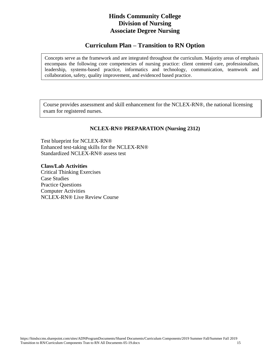## **Curriculum Plan – Transition to RN Option**

Concepts serve as the framework and are integrated throughout the curriculum. Majority areas of emphasis encompass the following core competencies of nursing practice: client centered care, professionalism, leadership, systems-based practice, informatics and technology, communication, teamwork and collaboration, safety, quality improvement, and evidenced based practice.

Course provides assessment and skill enhancement for the NCLEX-RN®, the national licensing exam for registered nurses.

## **NCLEX-RN® PREPARATION (Nursing 2312)**

Test blueprint for NCLEX-RN® Enhanced test-taking skills for the NCLEX-RN® Standardized NCLEX-RN® assess test

**Class/Lab Activities** Critical Thinking Exercises Case Studies Practice Questions Computer Activities NCLEX-RN® Live Review Course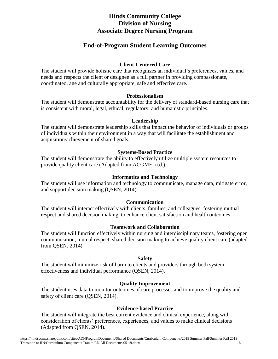## **End-of-Program Student Learning Outcomes**

## **Client-Centered Care**

The student will provide holistic care that recognizes an individual's preferences, values, and needs and respects the client or designee as a full partner in providing compassionate, coordinated, age and culturally appropriate, safe and effective care.

## **Professionalism**

The student will demonstrate accountability for the delivery of standard-based nursing care that is consistent with moral, legal, ethical, regulatory, and humanistic principles.

#### **Leadership**

The student will demonstrate leadership skills that impact the behavior of individuals or groups of individuals within their environment in a way that will facilitate the establishment and acquisition/achievement of shared goals.

## **Systems-Based Practice**

The student will demonstrate the ability to effectively utilize multiple system resources to provide quality client care (Adapted from ACGME, n.d.).

#### **Informatics and Technology**

The student will use information and technology to communicate, manage data, mitigate error, and support decision making (QSEN, 2014).

#### **Communication**

The student will interact effectively with clients, families, and colleagues, fostering mutual respect and shared decision making, to enhance client satisfaction and health outcomes**.**

#### **Teamwork and Collaboration**

The student will function effectively within nursing and interdisciplinary teams, fostering open communication, mutual respect, shared decision making to achieve quality client care (adapted from QSEN, 2014).

#### **Safety**

The student will minimize risk of harm to clients and providers through both system effectiveness and individual performance (QSEN, 2014).

#### **Quality Improvement**

The student uses data to monitor outcomes of care processes and to improve the quality and safety of client care (QSEN, 2014).

## **Evidence-based Practice**

The student will integrate the best current evidence and clinical experience, along with consideration of clients' preferences, experiences, and values to make clinical decisions (Adapted from QSEN, 2014).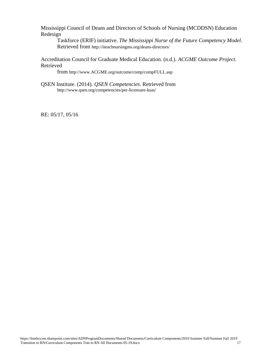Mississippi Council of Deans and Directors of Schools of Nursing (MCDDSN) Education Redesign

Taskforce (ERIF) initiative. *The Mississippi Nurse of the Future Competency Model*. Retrieved from <http://iteachnursingms.org/deans-directors/>

Accreditation Council for Graduate Medical Education. (n.d.). *ACGME Outcome Project*. Retrieved

from [http://www.ACGME.org/outcome/comp/compFULL.asp](http://www.acgme.org/outcome/comp/compFULL.asp)

QSEN Institute. (2014). *QSEN Competencies*. Retrieved from <http://www.qsen.org/competencies/per-licensure-ksas/>

RE: 05/17, 05/16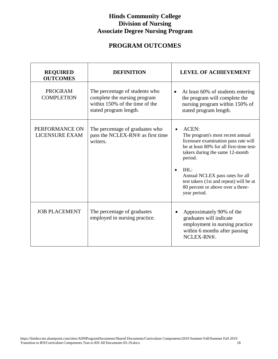## **PROGRAM OUTCOMES**

| <b>REQUIRED</b><br><b>OUTCOMES</b>      | <b>DEFINITION</b>                                                                                                          | <b>LEVEL OF ACHIEVEMENT</b>                                                                                                                                                                                                                                                                                                         |
|-----------------------------------------|----------------------------------------------------------------------------------------------------------------------------|-------------------------------------------------------------------------------------------------------------------------------------------------------------------------------------------------------------------------------------------------------------------------------------------------------------------------------------|
| <b>PROGRAM</b><br><b>COMPLETION</b>     | The percentage of students who<br>complete the nursing program<br>within 150% of the time of the<br>stated program length. | At least 60% of students entering<br>$\bullet$<br>the program will complete the<br>nursing program within 150% of<br>stated program length.                                                                                                                                                                                         |
| PERFORMANCE ON<br><b>LICENSURE EXAM</b> | The percentage of graduates who<br>pass the NCLEX-RN® as first time<br>writers.                                            | ACEN:<br>The program's most recent annual<br>licensure examination pass rate will<br>be at least 80% for all first-time test-<br>takers during the same 12-month<br>period.<br>IHL:<br>$\bullet$<br>Annual NCLEX pass rates for all<br>test takers (1st and repeat) will be at<br>80 percent or above over a three-<br>year period. |
| <b>JOB PLACEMENT</b>                    | The percentage of graduates<br>employed in nursing practice.                                                               | Approximately 90% of the<br>graduates will indicate<br>employment in nursing practice<br>within 6 months after passing<br>NCLEX-RN®.                                                                                                                                                                                                |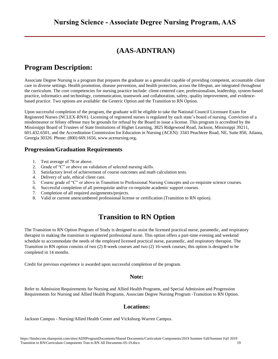## **(AAS-ADNTRAN)**

## **Program Description:**

Associate Degree Nursing is a program that prepares the graduate as a generalist capable of providing competent, accountable client care in diverse settings. Health promotion, disease prevention, and health protection, across the lifespan, are integrated throughout the curriculum. The core competencies for nursing practice include: client centered care, professionalism, leadership, system-based practice, informatics and technology, communication, teamwork and collaboration, safety, quality improvement, and evidencebased practice. Two options are available: the Generic Option and the Transition to RN Option.

Upon successful completion of the program, the graduate will be eligible to take the National Council Licensure Exam for Registered Nurses (NCLEX-RN®). Licensing of registered nurses is regulated by each state's board of nursing. Conviction of a misdemeanor or felony offense may be grounds for refusal by the Board to issue a license. This program is accredited by the Mississippi Board of Trustees of State Institutions of Higher Learning, 3825 Ridgewood Road, Jackson, Mississippi 39211, 601.432.6501, and the Accreditation Commission for Education in Nursing (ACEN): 3343 Peachtree Road, NE, Suite 850, Atlanta, Georgia 30326. Phone: (800) 669.1656[, www.acenursing.org](http://www.nlnac.org/)**.**

## **Progression/Graduation Requirements**

- 1. Test average of 78 or above.
- 2. Grade of "C" or above on validation of selected nursing skills.
- 3. Satisfactory level of achievement of course outcomes and math calculation tests.
- 4. Delivery of safe, ethical client care.
- 5. Course grade of "C" or above in Transition to Professional Nursing Concepts and co-requisite science courses.
- 6. Successful completion of all prerequisite and/or co-requisite academic support courses.
- 7. Completion of all required assignments/projects.
- 8. Valid or current unencumbered professional license or certification (Transition to RN option).

## **Transition to RN Option**

The Transition to RN Option Program of Study is designed to assist the licensed practical nurse, paramedic, and respiratory therapist in making the transition to registered professional nurse. This option offers a part-time evening and weekend schedule to accommodate the needs of the employed licensed practical nurse, paramedic, and respiratory therapist. The Transition to RN option consists of two (2) 8-week courses and two (2) 16-week courses; this option is designed to be completed in 14 months.

Credit for previous experience is awarded upon successful completion of the program.

## **Note:**

Refer to [Admission Requirements for Nursing and Allied Health Programs,](http://catalog.hindscc.edu/content.php?catoid=2&navoid=54) an[d Special Admission and Progression](http://catalog.hindscc.edu/content.php?catoid=2&navoid=54)  [Requirements for Nursing and Allied Health Programs, Associate Degree Nursing Program -Transition to RN Option.](http://catalog.hindscc.edu/content.php?catoid=2&navoid=54)

## **Locations:**

Jackson Campus - Nursing/Allied Health Center and Vicksburg-Warren Campus.